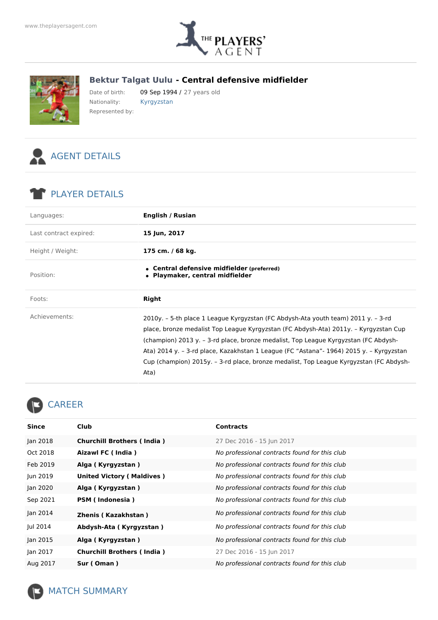

## **Bektur Talgat Uulu - Central defensive midfielder**



Date of birth: 09 Sep 1994 / 27 years old Nationality: Kyrgyzstan Represented by:



## PLAYER DETAILS

| Languages:             | English / Rusian                                                                                                                                                                                                                                                                                                                                                                                                                                              |
|------------------------|---------------------------------------------------------------------------------------------------------------------------------------------------------------------------------------------------------------------------------------------------------------------------------------------------------------------------------------------------------------------------------------------------------------------------------------------------------------|
| Last contract expired: | 15 Jun, 2017                                                                                                                                                                                                                                                                                                                                                                                                                                                  |
| Height / Weight:       | 175 cm. / 68 kg.                                                                                                                                                                                                                                                                                                                                                                                                                                              |
| Position:              | • Central defensive midfielder (preferred)<br>• Playmaker, central midfielder                                                                                                                                                                                                                                                                                                                                                                                 |
| Foots:                 | <b>Right</b>                                                                                                                                                                                                                                                                                                                                                                                                                                                  |
| Achievements:          | 2010y. – 5-th place 1 League Kyrgyzstan (FC Abdysh-Ata youth team) 2011 y. – 3-rd<br>place, bronze medalist Top League Kyrgyzstan (FC Abdysh-Ata) 2011y. – Kyrgyzstan Cup<br>(champion) 2013 y. – 3-rd place, bronze medalist, Top League Kyrgyzstan (FC Abdysh-<br>Ata) 2014 y. - 3-rd place, Kazakhstan 1 League (FC "Astana"- 1964) 2015 y. - Kyrgyzstan<br>Cup (champion) 2015y. – 3-rd place, bronze medalist, Top League Kyrgyzstan (FC Abdysh-<br>Ata) |

## CAREER

| Since    | Club                              | <b>Contracts</b>                              |
|----------|-----------------------------------|-----------------------------------------------|
| Jan 2018 | <b>Churchill Brothers (India)</b> |                                               |
|          |                                   | 27 Dec 2016 - 15 Jun 2017                     |
| Oct 2018 | Aizawl FC (India)                 | No professional contracts found for this club |
| Feb 2019 | Alga (Kyrgyzstan)                 | No professional contracts found for this club |
| Jun 2019 | <b>United Victory (Maldives)</b>  | No professional contracts found for this club |
| Jan 2020 | Alga (Kyrgyzstan)                 | No professional contracts found for this club |
| Sep 2021 | PSM (Indonesia)                   | No professional contracts found for this club |
| Jan 2014 | Zhenis (Kazakhstan)               | No professional contracts found for this club |
| Jul 2014 | Abdysh-Ata (Kyrgyzstan)           | No professional contracts found for this club |
| Jan 2015 | Alga (Kyrgyzstan)                 | No professional contracts found for this club |
| Jan 2017 | <b>Churchill Brothers (India)</b> | 27 Dec 2016 - 15 Jun 2017                     |
| Aug 2017 | Sur (Oman)                        | No professional contracts found for this club |